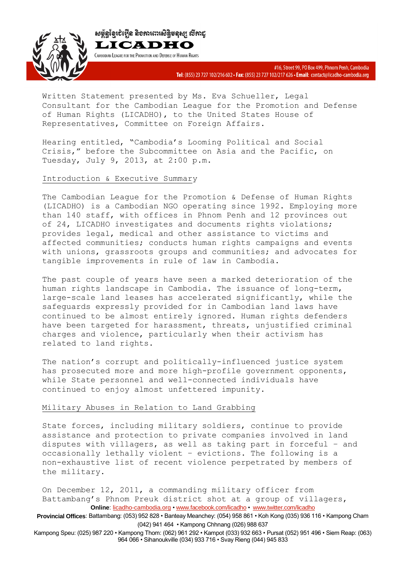CAMBODIAN LEAGUE FOR THE PROMOTION AND DEFENSE OF HUMAN RIGHTS



Written Statement presented by Ms. Eva Schueller, Legal Consultant for the Cambodian League for the Promotion and Defense of Human Rights (LICADHO), to the United States House of Representatives, Committee on Foreign Affairs.

Hearing entitled, "Cambodia's Looming Political and Social Crisis," before the Subcommittee on Asia and the Pacific, on Tuesday, July 9, 2013, at 2:00 p.m.

# Introduction & Executive Summary

The Cambodian League for the Promotion & Defense of Human Rights (LICADHO) is a Cambodian NGO operating since 1992. Employing more than 140 staff, with offices in Phnom Penh and 12 provinces out of 24, LICADHO investigates and documents rights violations; provides legal, medical and other assistance to victims and affected communities; conducts human rights campaigns and events with unions, grassroots groups and communities; and advocates for tangible improvements in rule of law in Cambodia.

The past couple of years have seen a marked deterioration of the human rights landscape in Cambodia. The issuance of long-term, large-scale land leases has accelerated significantly, while the safeguards expressly provided for in Cambodian land laws have continued to be almost entirely ignored. Human rights defenders have been targeted for harassment, threats, unjustified criminal charges and violence, particularly when their activism has related to land rights.

The nation's corrupt and politically-influenced justice system has prosecuted more and more high-profile government opponents, while State personnel and well-connected individuals have continued to enjoy almost unfettered impunity.

# Military Abuses in Relation to Land Grabbing

State forces, including military soldiers, continue to provide assistance and protection to private companies involved in land disputes with villagers, as well as taking part in forceful – and occasionally lethally violent – evictions. The following is a non-exhaustive list of recent violence perpetrated by members of the military.

**Online**: licadho-cambodia.org • www.facebook.com/licadho • www.twitter.com/licadho On December 12, 2011, a commanding military officer from Battambang's Phnom Preuk district shot at a group of villagers,

**Provincial Offices**: Battambang: (053) 952 828 • Banteay Meanchey: (054) 958 861 • Koh Kong (035) 936 116 • Kampong Cham (042) 941 464 • Kampong Chhnang (026) 988 637

Kampong Speu: (025) 987 220 • Kampong Thom: (062) 961 292 • Kampot (033) 932 663 • Pursat (052) 951 496 • Siem Reap: (063) 964 066 • Sihanoukville (034) 933 716 • Svay Rieng (044) 945 833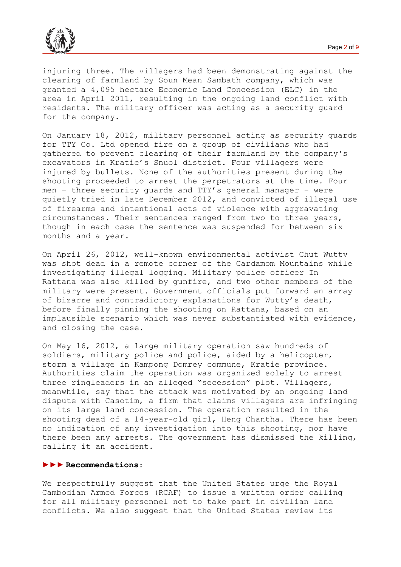

injuring three. The villagers had been demonstrating against the clearing of farmland by Soun Mean Sambath company, which was granted a 4,095 hectare Economic Land Concession (ELC) in the area in April 2011, resulting in the ongoing land conflict with residents. The military officer was acting as a security guard for the company.

On January 18, 2012, military personnel acting as security guards for TTY Co. Ltd opened fire on a group of civilians who had gathered to prevent clearing of their farmland by the company's excavators in Kratie's Snuol district. Four villagers were injured by bullets. None of the authorities present during the shooting proceeded to arrest the perpetrators at the time. Four men – three security guards and TTY's general manager – were quietly tried in late December 2012, and convicted of illegal use of firearms and intentional acts of violence with aggravating circumstances. Their sentences ranged from two to three years, though in each case the sentence was suspended for between six months and a year.

On April 26, 2012, well-known environmental activist Chut Wutty was shot dead in a remote corner of the Cardamom Mountains while investigating illegal logging. Military police officer In Rattana was also killed by gunfire, and two other members of the military were present. Government officials put forward an array of bizarre and contradictory explanations for Wutty's death, before finally pinning the shooting on Rattana, based on an implausible scenario which was never substantiated with evidence, and closing the case.

On May 16, 2012, a large military operation saw hundreds of soldiers, military police and police, aided by a helicopter, storm a village in Kampong Domrey commune, Kratie province. Authorities claim the operation was organized solely to arrest three ringleaders in an alleged "secession" plot. Villagers, meanwhile, say that the attack was motivated by an ongoing land dispute with Casotim, a firm that claims villagers are infringing on its large land concession. The operation resulted in the shooting dead of a 14-year-old girl, Heng Chantha. There has been no indication of any investigation into this shooting, nor have there been any arrests. The government has dismissed the killing, calling it an accident.

#### **►►► Recommendations**:

We respectfully suggest that the United States urge the Royal Cambodian Armed Forces (RCAF) to issue a written order calling for all military personnel not to take part in civilian land conflicts. We also suggest that the United States review its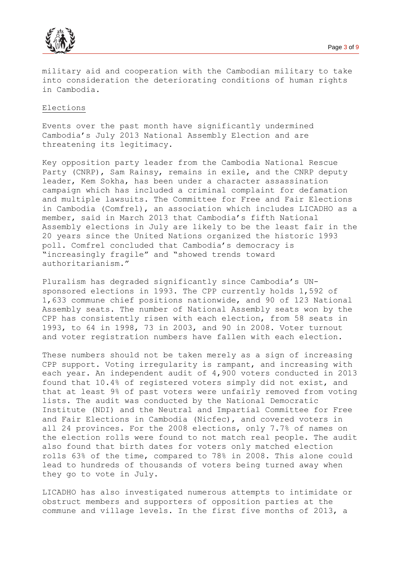

military aid and cooperation with the Cambodian military to take into consideration the deteriorating conditions of human rights in Cambodia.

#### Elections

Events over the past month have significantly undermined Cambodia's July 2013 National Assembly Election and are threatening its legitimacy.

Key opposition party leader from the Cambodia National Rescue Party (CNRP), Sam Rainsy, remains in exile, and the CNRP deputy leader, Kem Sokha, has been under a character assassination campaign which has included a criminal complaint for defamation and multiple lawsuits. The Committee for Free and Fair Elections in Cambodia (Comfrel), an association which includes LICADHO as a member, said in March 2013 that Cambodia's fifth National Assembly elections in July are likely to be the least fair in the 20 years since the United Nations organized the historic 1993 poll. Comfrel concluded that Cambodia's democracy is "increasingly fragile" and "showed trends toward authoritarianism."

Pluralism has degraded significantly since Cambodia's UNsponsored elections in 1993. The CPP currently holds 1,592 of 1,633 commune chief positions nationwide, and 90 of 123 National Assembly seats. The number of National Assembly seats won by the CPP has consistently risen with each election, from 58 seats in 1993, to 64 in 1998, 73 in 2003, and 90 in 2008. Voter turnout and voter registration numbers have fallen with each election.

These numbers should not be taken merely as a sign of increasing CPP support. Voting irregularity is rampant, and increasing with each year. An independent audit of 4,900 voters conducted in 2013 found that 10.4% of registered voters simply did not exist, and that at least 9% of past voters were unfairly removed from voting lists. The audit was conducted by the National Democratic Institute (NDI) and the Neutral and Impartial Committee for Free and Fair Elections in Cambodia (Nicfec), and covered voters in all 24 provinces. For the 2008 elections, only 7.7% of names on the election rolls were found to not match real people. The audit also found that birth dates for voters only matched election rolls 63% of the time, compared to 78% in 2008. This alone could lead to hundreds of thousands of voters being turned away when they go to vote in July.

LICADHO has also investigated numerous attempts to intimidate or obstruct members and supporters of opposition parties at the commune and village levels. In the first five months of 2013, a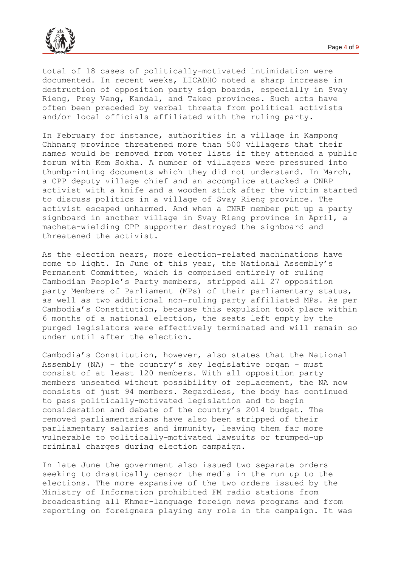

total of 18 cases of politically-motivated intimidation were documented. In recent weeks, LICADHO noted a sharp increase in destruction of opposition party sign boards, especially in Svay Rieng, Prey Veng, Kandal, and Takeo provinces. Such acts have often been preceded by verbal threats from political activists and/or local officials affiliated with the ruling party.

In February for instance, authorities in a village in Kampong Chhnang province threatened more than 500 villagers that their names would be removed from voter lists if they attended a public forum with Kem Sokha. A number of villagers were pressured into thumbprinting documents which they did not understand. In March, a CPP deputy village chief and an accomplice attacked a CNRP activist with a knife and a wooden stick after the victim started to discuss politics in a village of Svay Rieng province. The activist escaped unharmed. And when a CNRP member put up a party signboard in another village in Svay Rieng province in April, a machete-wielding CPP supporter destroyed the signboard and threatened the activist.

As the election nears, more election-related machinations have come to light. In June of this year, the National Assembly's Permanent Committee, which is comprised entirely of ruling Cambodian People's Party members, stripped all 27 opposition party Members of Parliament (MPs) of their parliamentary status, as well as two additional non-ruling party affiliated MPs. As per Cambodia's Constitution, because this expulsion took place within 6 months of a national election, the seats left empty by the purged legislators were effectively terminated and will remain so under until after the election.

Cambodia's Constitution, however, also states that the National Assembly (NA) - the country's key legislative organ - must consist of at least 120 members. With all opposition party members unseated without possibility of replacement, the NA now consists of just 94 members. Regardless, the body has continued to pass politically-motivated legislation and to begin consideration and debate of the country's 2014 budget. The removed parliamentarians have also been stripped of their parliamentary salaries and immunity, leaving them far more vulnerable to politically-motivated lawsuits or trumped-up criminal charges during election campaign.

In late June the government also issued two separate orders seeking to drastically censor the media in the run up to the elections. The more expansive of the two orders issued by the Ministry of Information prohibited FM radio stations from broadcasting all Khmer-language foreign news programs and from reporting on foreigners playing any role in the campaign. It was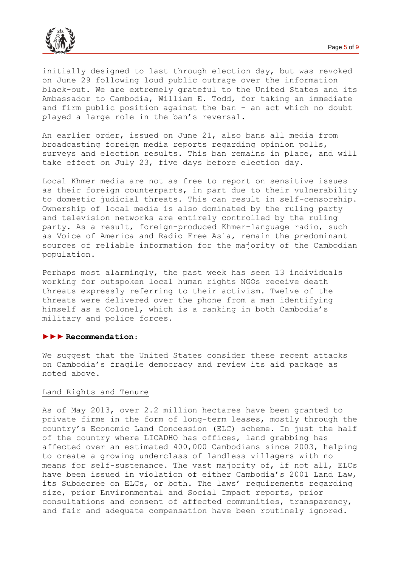

initially designed to last through election day, but was revoked on June 29 following loud public outrage over the information black-out. We are extremely grateful to the United States and its Ambassador to Cambodia, William E. Todd, for taking an immediate and firm public position against the ban – an act which no doubt played a large role in the ban's reversal.

An earlier order, issued on June 21, also bans all media from broadcasting foreign media reports regarding opinion polls, surveys and election results. This ban remains in place, and will take effect on July 23, five days before election day.

Local Khmer media are not as free to report on sensitive issues as their foreign counterparts, in part due to their vulnerability to domestic judicial threats. This can result in self-censorship. Ownership of local media is also dominated by the ruling party and television networks are entirely controlled by the ruling party. As a result, foreign-produced Khmer-language radio, such as Voice of America and Radio Free Asia, remain the predominant sources of reliable information for the majority of the Cambodian population.

Perhaps most alarmingly, the past week has seen 13 individuals working for outspoken local human rights NGOs receive death threats expressly referring to their activism. Twelve of the threats were delivered over the phone from a man identifying himself as a Colonel, which is a ranking in both Cambodia's military and police forces.

#### **►►► Recommendation**:

We suggest that the United States consider these recent attacks on Cambodia's fragile democracy and review its aid package as noted above.

### Land Rights and Tenure

As of May 2013, over 2.2 million hectares have been granted to private firms in the form of long-term leases, mostly through the country's Economic Land Concession (ELC) scheme. In just the half of the country where LICADHO has offices, land grabbing has affected over an estimated 400,000 Cambodians since 2003, helping to create a growing underclass of landless villagers with no means for self-sustenance. The vast majority of, if not all, ELCs have been issued in violation of either Cambodia's 2001 Land Law, its Subdecree on ELCs, or both. The laws' requirements regarding size, prior Environmental and Social Impact reports, prior consultations and consent of affected communities, transparency, and fair and adequate compensation have been routinely ignored.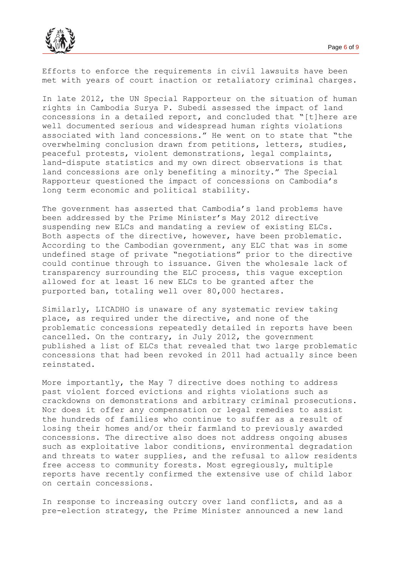

Efforts to enforce the requirements in civil lawsuits have been met with years of court inaction or retaliatory criminal charges.

In late 2012, the UN Special Rapporteur on the situation of human rights in Cambodia Surya P. Subedi assessed the impact of land concessions in a detailed report, and concluded that "[t]here are well documented serious and widespread human rights violations associated with land concessions." He went on to state that "the overwhelming conclusion drawn from petitions, letters, studies, peaceful protests, violent demonstrations, legal complaints, land-dispute statistics and my own direct observations is that land concessions are only benefiting a minority." The Special Rapporteur questioned the impact of concessions on Cambodia's long term economic and political stability.

The government has asserted that Cambodia's land problems have been addressed by the Prime Minister's May 2012 directive suspending new ELCs and mandating a review of existing ELCs. Both aspects of the directive, however, have been problematic. According to the Cambodian government, any ELC that was in some undefined stage of private "negotiations" prior to the directive could continue through to issuance. Given the wholesale lack of transparency surrounding the ELC process, this vague exception allowed for at least 16 new ELCs to be granted after the purported ban, totaling well over 80,000 hectares.

Similarly, LICADHO is unaware of any systematic review taking place, as required under the directive, and none of the problematic concessions repeatedly detailed in reports have been cancelled. On the contrary, in July 2012, the government published a list of ELCs that revealed that two large problematic concessions that had been revoked in 2011 had actually since been reinstated.

More importantly, the May 7 directive does nothing to address past violent forced evictions and rights violations such as crackdowns on demonstrations and arbitrary criminal prosecutions. Nor does it offer any compensation or legal remedies to assist the hundreds of families who continue to suffer as a result of losing their homes and/or their farmland to previously awarded concessions. The directive also does not address ongoing abuses such as exploitative labor conditions, environmental degradation and threats to water supplies, and the refusal to allow residents free access to community forests. Most egregiously, multiple reports have recently confirmed the extensive use of child labor on certain concessions.

In response to increasing outcry over land conflicts, and as a pre-election strategy, the Prime Minister announced a new land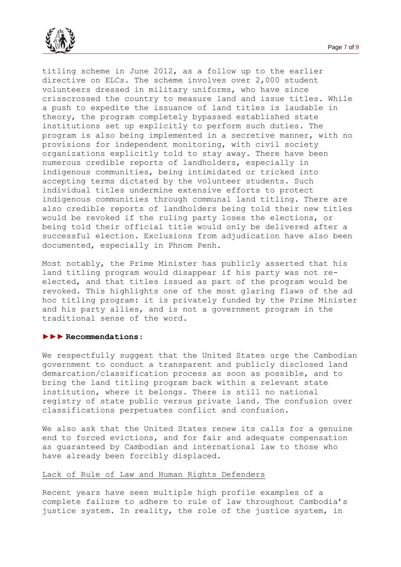

titling scheme in June 2012, as a follow up to the earlier directive on ELCs. The scheme involves over 2,000 student volunteers dressed in military uniforms, who have since crisscrossed the country to measure land and issue titles. While a push to expedite the issuance of land titles is laudable in theory, the program completely bypassed established state institutions set up explicitly to perform such duties. The program is also being implemented in a secretive manner, with no provisions for independent monitoring, with civil society organizations explicitly told to stay away. There have been numerous credible reports of landholders, especially in indigenous communities, being intimidated or tricked into accepting terms dictated by the volunteer students. Such individual titles undermine extensive efforts to protect indigenous communities through communal land titling. There are also credible reports of landholders being told their new titles would be revoked if the ruling party loses the elections, or being told their official title would only be delivered after a successful election. Exclusions from adjudication have also been documented, especially in Phnom Penh.

Most notably, the Prime Minister has publicly asserted that his land titling program would disappear if his party was not reelected, and that titles issued as part of the program would be revoked. This highlights one of the most glaring flaws of the ad hoc titling program: it is privately funded by the Prime Minister and his party allies, and is not a government program in the traditional sense of the word.

### **►►► Recommendations**:

We respectfully suggest that the United States urge the Cambodian government to conduct a transparent and publicly disclosed land demarcation/classification process as soon as possible, and to bring the land titling program back within a relevant state institution, where it belongs. There is still no national registry of state public versus private land. The confusion over classifications perpetuates conflict and confusion.

We also ask that the United States renew its calls for a genuine end to forced evictions, and for fair and adequate compensation as guaranteed by Cambodian and international law to those who have already been forcibly displaced.

#### Lack of Rule of Law and Human Rights Defenders

Recent years have seen multiple high profile examples of a complete failure to adhere to rule of law throughout Cambodia's justice system. In reality, the role of the justice system, in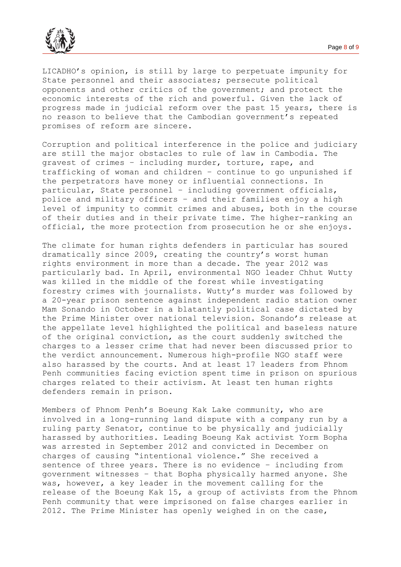

LICADHO's opinion, is still by large to perpetuate impunity for State personnel and their associates; persecute political opponents and other critics of the government; and protect the economic interests of the rich and powerful. Given the lack of progress made in judicial reform over the past 15 years, there is no reason to believe that the Cambodian government's repeated promises of reform are sincere.

Corruption and political interference in the police and judiciary are still the major obstacles to rule of law in Cambodia. The gravest of crimes – including murder, torture, rape, and trafficking of woman and children – continue to go unpunished if the perpetrators have money or influential connections. In particular, State personnel – including government officials, police and military officers – and their families enjoy a high level of impunity to commit crimes and abuses, both in the course of their duties and in their private time. The higher-ranking an official, the more protection from prosecution he or she enjoys.

The climate for human rights defenders in particular has soured dramatically since 2009, creating the country's worst human rights environment in more than a decade. The year 2012 was particularly bad. In April, environmental NGO leader Chhut Wutty was killed in the middle of the forest while investigating forestry crimes with journalists. Wutty's murder was followed by a 20-year prison sentence against independent radio station owner Mam Sonando in October in a blatantly political case dictated by the Prime Minister over national television. Sonando's release at the appellate level highlighted the political and baseless nature of the original conviction, as the court suddenly switched the charges to a lesser crime that had never been discussed prior to the verdict announcement. Numerous high-profile NGO staff were also harassed by the courts. And at least 17 leaders from Phnom Penh communities facing eviction spent time in prison on spurious charges related to their activism. At least ten human rights defenders remain in prison.

Members of Phnom Penh's Boeung Kak Lake community, who are involved in a long-running land dispute with a company run by a ruling party Senator, continue to be physically and judicially harassed by authorities. Leading Boeung Kak activist Yorm Bopha was arrested in September 2012 and convicted in December on charges of causing "intentional violence." She received a sentence of three years. There is no evidence – including from government witnesses – that Bopha physically harmed anyone. She was, however, a key leader in the movement calling for the release of the Boeung Kak 15, a group of activists from the Phnom Penh community that were imprisoned on false charges earlier in 2012. The Prime Minister has openly weighed in on the case,